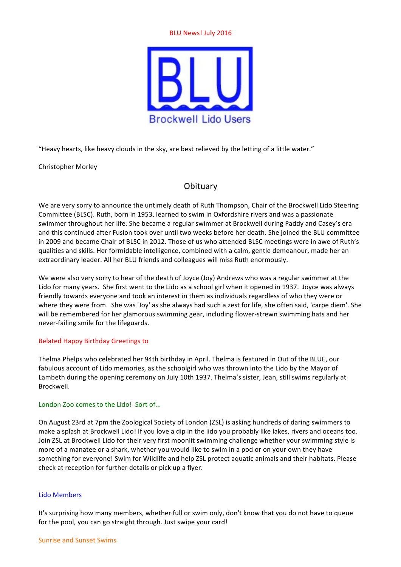#### **BLU News! July 2016**



"Heavy hearts, like heavy clouds in the sky, are best relieved by the letting of a little water."

Christopher Morley

# **Obituary**

We are very sorry to announce the untimely death of Ruth Thompson, Chair of the Brockwell Lido Steering Committee (BLSC). Ruth, born in 1953, learned to swim in Oxfordshire rivers and was a passionate swimmer throughout her life. She became a regular swimmer at Brockwell during Paddy and Casey's era and this continued after Fusion took over until two weeks before her death. She ioined the BLU committee in 2009 and became Chair of BLSC in 2012. Those of us who attended BLSC meetings were in awe of Ruth's qualities and skills. Her formidable intelligence, combined with a calm, gentle demeanour, made her an extraordinary leader. All her BLU friends and colleagues will miss Ruth enormously.

We were also very sorry to hear of the death of Joyce (Joy) Andrews who was a regular swimmer at the Lido for many years. She first went to the Lido as a school girl when it opened in 1937. Joyce was always friendly towards everyone and took an interest in them as individuals regardless of who they were or where they were from. She was 'Joy' as she always had such a zest for life, she often said, 'carpe diem'. She will be remembered for her glamorous swimming gear, including flower-strewn swimming hats and her never-failing smile for the lifeguards.

### Belated Happy Birthday Greetings to

Thelma Phelps who celebrated her 94th birthday in April. Thelma is featured in Out of the BLUE, our fabulous account of Lido memories, as the schoolgirl who was thrown into the Lido by the Mayor of Lambeth during the opening ceremony on July 10th 1937. Thelma's sister, Jean, still swims regularly at Brockwell.

### London Zoo comes to the Lido! Sort of...

On August 23rd at 7pm the Zoological Society of London (ZSL) is asking hundreds of daring swimmers to make a splash at Brockwell Lido! If you love a dip in the lido you probably like lakes, rivers and oceans too. Join ZSL at Brockwell Lido for their very first moonlit swimming challenge whether your swimming style is more of a manatee or a shark, whether you would like to swim in a pod or on your own they have something for everyone! Swim for Wildlife and help ZSL protect aquatic animals and their habitats. Please check at reception for further details or pick up a flyer.

### Lido Members

It's surprising how many members, whether full or swim only, don't know that you do not have to queue for the pool, you can go straight through. Just swipe your card!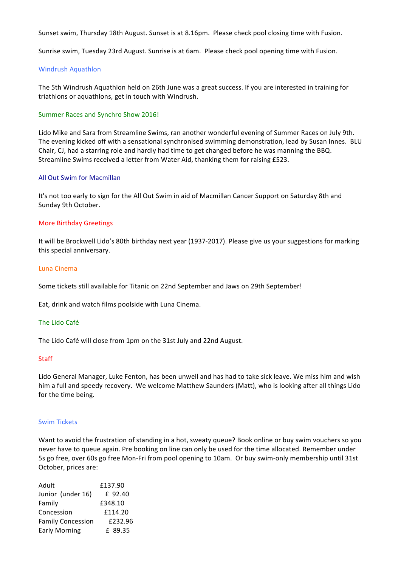Sunset swim, Thursday 18th August. Sunset is at 8.16pm. Please check pool closing time with Fusion.

Sunrise swim, Tuesday 23rd August. Sunrise is at 6am. Please check pool opening time with Fusion.

#### Windrush Aquathlon

The 5th Windrush Aquathlon held on 26th June was a great success. If you are interested in training for triathlons or aquathlons, get in touch with Windrush.

#### Summer Races and Synchro Show 2016!

Lido Mike and Sara from Streamline Swims, ran another wonderful evening of Summer Races on July 9th. The evening kicked off with a sensational synchronised swimming demonstration, lead by Susan Innes. BLU Chair, CJ, had a starring role and hardly had time to get changed before he was manning the BBQ. Streamline Swims received a letter from Water Aid, thanking them for raising £523.

#### All Out Swim for Macmillan

It's not too early to sign for the All Out Swim in aid of Macmillan Cancer Support on Saturday 8th and Sunday 9th October.

#### More Birthday Greetings

It will be Brockwell Lido's 80th birthday next year (1937-2017). Please give us your suggestions for marking this special anniversary.

#### Luna Cinema

Some tickets still available for Titanic on 22nd September and Jaws on 29th September!

Eat, drink and watch films poolside with Luna Cinema.

#### The Lido Café

The Lido Café will close from 1pm on the 31st July and 22nd August.

#### **Staff**

Lido General Manager, Luke Fenton, has been unwell and has had to take sick leave. We miss him and wish him a full and speedy recovery. We welcome Matthew Saunders (Matt), who is looking after all things Lido for the time being.

#### Swim Tickets

Want to avoid the frustration of standing in a hot, sweaty queue? Book online or buy swim youchers so you never have to queue again. Pre booking on line can only be used for the time allocated. Remember under 5s go free, over 60s go free Mon-Fri from pool opening to 10am. Or buy swim-only membership until 31st October, prices are:

| Adult                    | £137.90 |
|--------------------------|---------|
| Junior (under 16)        | £ 92.40 |
| Family                   | £348.10 |
| Concession               | £114.20 |
| <b>Family Concession</b> | £232.96 |
| <b>Early Morning</b>     | f 89.35 |